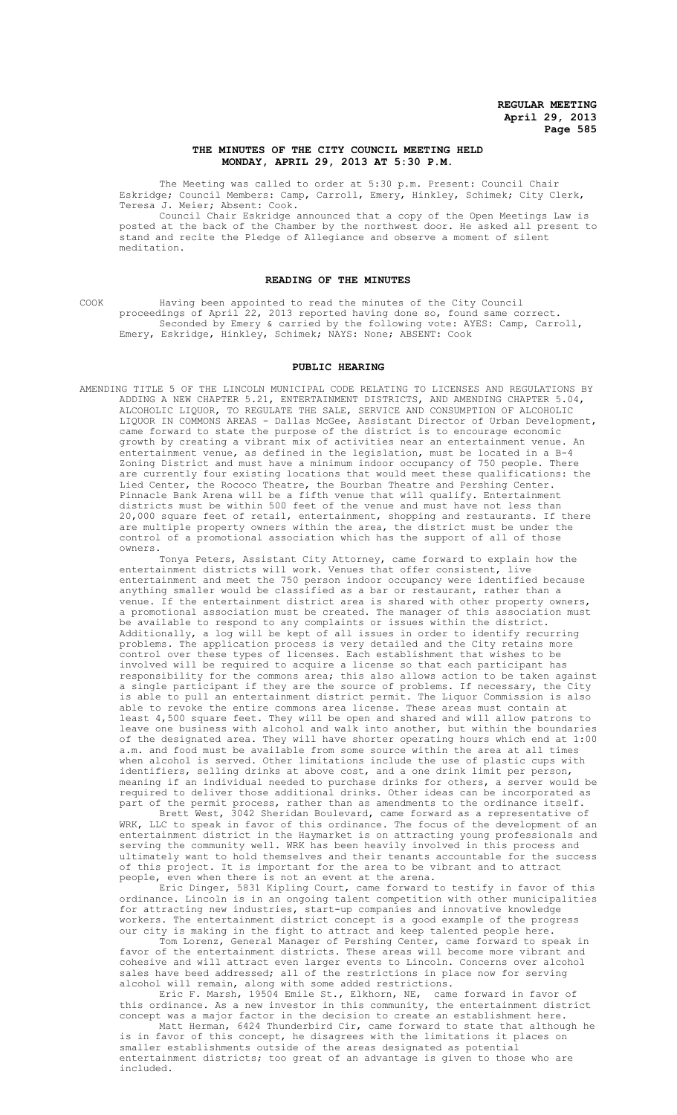# **THE MINUTES OF THE CITY COUNCIL MEETING HELD MONDAY, APRIL 29, 2013 AT 5:30 P.M.**

The Meeting was called to order at 5:30 p.m. Present: Council Chair Eskridge; Council Members: Camp, Carroll, Emery, Hinkley, Schimek; City Clerk, Teresa J. Meier; Absent: Cook.

Council Chair Eskridge announced that a copy of the Open Meetings Law is posted at the back of the Chamber by the northwest door. He asked all present to stand and recite the Pledge of Allegiance and observe a moment of silent meditation.

#### **READING OF THE MINUTES**

COOK Having been appointed to read the minutes of the City Council proceedings of April 22, 2013 reported having done so, found same correct. Seconded by Emery & carried by the following vote: AYES: Camp, Carroll, Emery, Eskridge, Hinkley, Schimek; NAYS: None; ABSENT: Cook

#### **PUBLIC HEARING**

AMENDING TITLE 5 OF THE LINCOLN MUNICIPAL CODE RELATING TO LICENSES AND REGULATIONS BY ADDING A NEW CHAPTER 5.21, ENTERTAINMENT DISTRICTS, AND AMENDING CHAPTER 5.04, ALCOHOLIC LIQUOR, TO REGULATE THE SALE, SERVICE AND CONSUMPTION OF ALCOHOLIC LIQUOR IN COMMONS AREAS - Dallas McGee, Assistant Director of Urban Development, came forward to state the purpose of the district is to encourage economic growth by creating a vibrant mix of activities near an entertainment venue. entertainment venue, as defined in the legislation, must be located in a B-4 Zoning District and must have a minimum indoor occupancy of 750 people. There are currently four existing locations that would meet these qualifications: the Lied Center, the Rococo Theatre, the Bourban Theatre and Pershing Center. Pinnacle Bank Arena will be a fifth venue that will qualify. Entertainment districts must be within 500 feet of the venue and must have not less than 20,000 square feet of retail, entertainment, shopping and restaurants. If there are multiple property owners within the area, the district must be under the control of a promotional association which has the support of all of those owners.

Tonya Peters, Assistant City Attorney, came forward to explain how the entertainment districts will work. Venues that offer consistent, live entertainment and meet the 750 person indoor occupancy were identified because anything smaller would be classified as a bar or restaurant, rather than a venue. If the entertainment district area is shared with other property owners, a promotional association must be created. The manager of this association must be available to respond to any complaints or issues within the district. Additionally, a log will be kept of all issues in order to identify recurring problems. The application process is very detailed and the City retains more control over these types of licenses. Each establishment that wishes to be involved will be required to acquire a license so that each participant has responsibility for the commons area; this also allows action to be taken against a single participant if they are the source of problems. If necessary, the City is able to pull an entertainment district permit. The Liquor Commission is also able to revoke the entire commons area license. These areas must contain at least 4,500 square feet. They will be open and shared and will allow patrons to leave one business with alcohol and walk into another, but within the boundaries of the designated area. They will have shorter operating hours which end at 1:00 a.m. and food must be available from some source within the area at all times when alcohol is served. Other limitations include the use of plastic cups with identifiers, selling drinks at above cost, and a one drink limit per person, meaning if an individual needed to purchase drinks for others, a server would be required to deliver those additional drinks. Other ideas can be incorporated as part of the permit process, rather than as amendments to the ordinance itself.

Brett West, 3042 Sheridan Boulevard, came forward as a representative of WRK, LLC to speak in favor of this ordinance. The focus of the development of an entertainment district in the Haymarket is on attracting young professionals and serving the community well. WRK has been heavily involved in this process and ultimately want to hold themselves and their tenants accountable for the success of this project. It is important for the area to be vibrant and to attract<br>people, even when there is not an event at the arena. even when there is not an event at the arena.

Eric Dinger, 5831 Kipling Court, came forward to testify in favor of this ordinance. Lincoln is in an ongoing talent competition with other municipalities for attracting new industries, start-up companies and innovative knowledge workers. The entertainment district concept is a good example of the progress our city is making in the fight to attract and keep talented people here.

Tom Lorenz, General Manager of Pershing Center, came forward to speak in favor of the entertainment districts. These areas will become more vibrant and cohesive and will attract even larger events to Lincoln. Concerns over alcohol sales have beed addressed; all of the restrictions in place now for serving alcohol will remain, along with some added restrictions.

Eric F. Marsh, 19504 Emile St., Elkhorn, NE, came forward in favor of this ordinance. As a new investor in this community, the entertainment district concept was a major factor in the decision to create an establishment here. Matt Herman, 6424 Thunderbird Cir, came forward to state that although he is in favor of this concept, he disagrees with the limitations it places on smaller establishments outside of the areas designated as potential entertainment districts; too great of an advantage is given to those who are included.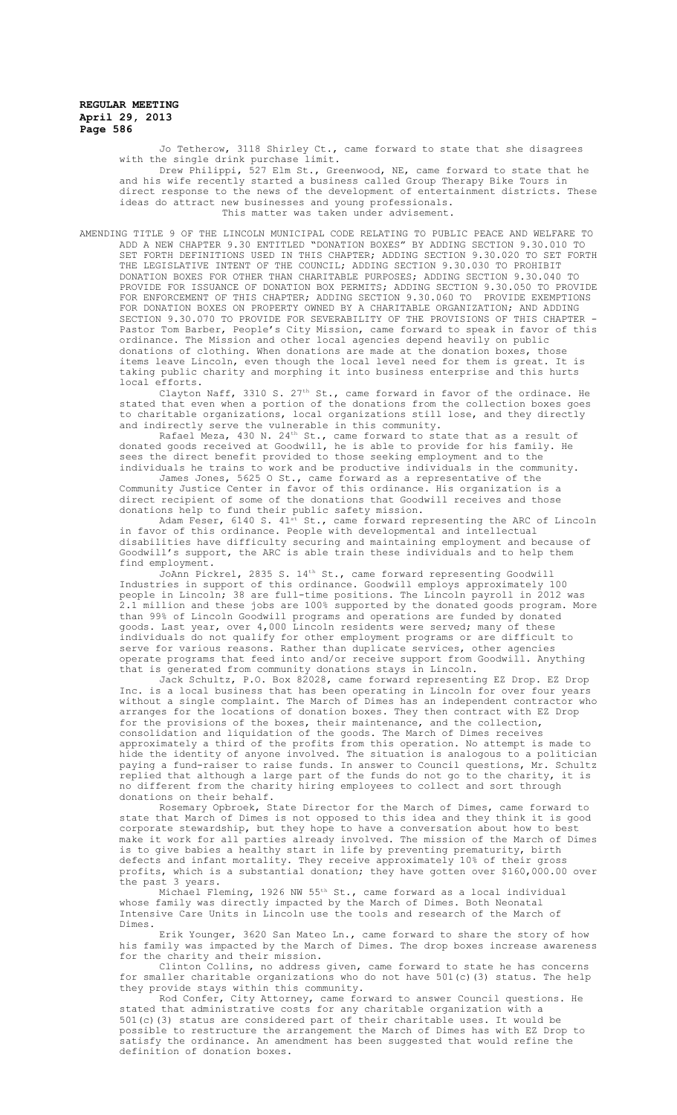Jo Tetherow, 3118 Shirley Ct., came forward to state that she disagrees with the single drink purchase limit.

Drew Philippi, 527 Elm St., Greenwood, NE, came forward to state that he and his wife recently started a business called Group Therapy Bike Tours in direct response to the news of the development of entertainment districts. These ideas do attract new businesses and young professionals. This matter was taken under advisement.

AMENDING TITLE 9 OF THE LINCOLN MUNICIPAL CODE RELATING TO PUBLIC PEACE AND WELFARE TO ADD A NEW CHAPTER 9.30 ENTITLED "DONATION BOXES" BY ADDING SECTION 9.30.010 TO SET FORTH DEFINITIONS USED IN THIS CHAPTER; ADDING SECTION 9.30.020 TO SET FORTH THE LEGISLATIVE INTENT OF THE COUNCIL; ADDING SECTION 9.30.030 TO PROHIBIT DONATION BOXES FOR OTHER THAN CHARITABLE PURPOSES; ADDING SECTION 9.30.040 TO PROVIDE FOR ISSUANCE OF DONATION BOX PERMITS; ADDING SECTION 9.30.050 TO PROVIDE<br>FOR ENFORCEMENT OF THIS CHAPTER; ADDING SECTION 9.30.060 TO PROVIDE EXEMPTIONS FOR ENFORCEMENT OF THIS CHAPTER; ADDING SECTION 9.30.060 TO PROVIDE EXEMPTIONS FOR DONATION BOXES ON PROPERTY OWNED BY A CHARITABLE ORGANIZATION; AND ADDING SECTION 9.30.070 TO PROVIDE FOR SEVERABILITY OF THE PROVISIONS OF THIS CHAPTER - Pastor Tom Barber, People's City Mission, came forward to speak in favor of this ordinance. The Mission and other local agencies depend heavily on public donations of clothing. When donations are made at the donation boxes, those items leave Lincoln, even though the local level need for them is great. It is taking public charity and morphing it into business enterprise and this hurts local efforts.

Clayton Naff, 3310 S.  $27<sup>th</sup>$  St., came forward in favor of the ordinace. He stated that even when a portion of the donations from the collection boxes goes to charitable organizations, local organizations still lose, and they directly and indirectly serve the vulnerable in this community.

Rafael Meza, 430 N. 24th St., came forward to state that as a result of donated goods received at Goodwill, he is able to provide for his family. He sees the direct benefit provided to those seeking employment and to the individuals he trains to work and be productive individuals in the community.

James Jones, 5625 O St., came forward as a representative of the Community Justice Center in favor of this ordinance. His organization is a direct recipient of some of the donations that Goodwill receives and those donations help to fund their public safety mission.

Adam Feser,  $6140$  S.  $41^{\text{st}}$  St., came forward representing the ARC of Lincoln in favor of this ordinance. People with developmental and intellectual disabilities have difficulty securing and maintaining employment and because of Goodwill's support, the ARC is able train these individuals and to help them find employment.

JoAnn Pickrel, 2835 S. 14th St., came forward representing Goodwill Industries in support of this ordinance. Goodwill employs approximately 100 people in Lincoln; 38 are full-time positions. The Lincoln payroll in 2012 was .<br>2.1 million and these jobs are 100% supported by the donated goods program. More than 99% of Lincoln Goodwill programs and operations are funded by donated goods. Last year, over 4,000 Lincoln residents were served; many of these individuals do not qualify for other employment programs or are difficult to serve for various reasons. Rather than duplicate services, other agencies operate programs that feed into and/or receive support from Goodwill. Anything that is generated from community donations stays in Lincoln.

Jack Schultz, P.O. Box 82028, came forward representing EZ Drop. EZ Drop Inc. is a local business that has been operating in Lincoln for over four years without a single complaint. The March of Dimes has an independent contractor who arranges for the locations of donation boxes. They then contract with EZ Drop for the provisions of the boxes, their maintenance, and the collection, consolidation and liquidation of the goods. The March of Dimes receives approximately a third of the profits from this operation. No attempt is made to hide the identity of anyone involved. The situation is analogous to a politician paying a fund-raiser to raise funds. In answer to Council questions, Mr. Schultz replied that although a large part of the funds do not go to the charity, it is no different from the charity hiring employees to collect and sort through donations on their behalf.

Rosemary Opbroek, State Director for the March of Dimes, came forward to state that March of Dimes is not opposed to this idea and they think it is good corporate stewardship, but they hope to have a conversation about how to best<br>make it work for all parties already involved. The mission of the March of Di parties already involved. The mission of the March of Dimes is to give babies a healthy start in life by preventing prematurity, birth defects and infant mortality. They receive approximately 10% of their gross profits, which is a substantial donation; they have gotten over \$160,000.00 over the past 3 years.

Michael Fleming, 1926 NW 55<sup>th</sup> St., came forward as a local individual whose family was directly impacted by the March of Dimes. Both Neonatal Intensive Care Units in Lincoln use the tools and research of the March of Dimes.

Erik Younger, 3620 San Mateo Ln., came forward to share the story of how his family was impacted by the March of Dimes. The drop boxes increase awareness for the charity and their mission.

Clinton Collins, no address given, came forward to state he has concerns for smaller charitable organizations who do not have 501(c)(3) status. The help they provide stays within this community.

Rod Confer, City Attorney, came forward to answer Council questions. He stated that administrative costs for any charitable organization with a 501(c)(3) status are considered part of their charitable uses. It would be possible to restructure the arrangement the March of Dimes has with EZ Drop to satisfy the ordinance. An amendment has been suggested that would refine the definition of donation boxes.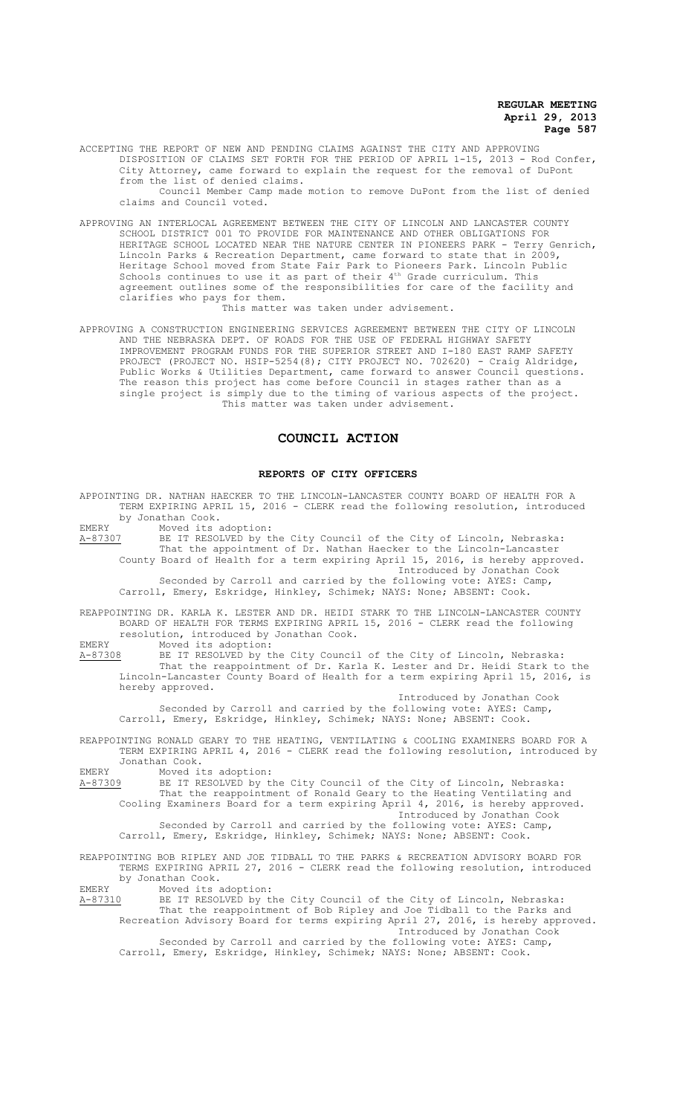ACCEPTING THE REPORT OF NEW AND PENDING CLAIMS AGAINST THE CITY AND APPROVING DISPOSITION OF CLAIMS SET FORTH FOR THE PERIOD OF APRIL 1-15, 2013 - Rod Confer, City Attorney, came forward to explain the request for the removal of DuPont from the list of denied claims. Council Member Camp made motion to remove DuPont from the list of denied claims and Council voted.

APPROVING AN INTERLOCAL AGREEMENT BETWEEN THE CITY OF LINCOLN AND LANCASTER COUNTY SCHOOL DISTRICT 001 TO PROVIDE FOR MAINTENANCE AND OTHER OBLIGATIONS FOR HERITAGE SCHOOL LOCATED NEAR THE NATURE CENTER IN PIONEERS PARK - Terry Genrich, Lincoln Parks & Recreation Department, came forward to state that in 2009, Heritage School moved from State Fair Park to Pioneers Park. Lincoln Public Schools continues to use it as part of their  $4^{\text{th}}$  Grade curriculum. This agreement outlines some of the responsibilities for care of the facility and clarifies who pays for them.

This matter was taken under advisement.

APPROVING A CONSTRUCTION ENGINEERING SERVICES AGREEMENT BETWEEN THE CITY OF LINCOLN AND THE NEBRASKA DEPT. OF ROADS FOR THE USE OF FEDERAL HIGHWAY SAFETY IMPROVEMENT PROGRAM FUNDS FOR THE SUPERIOR STREET AND I-180 EAST RAMP SAFETY PROJECT (PROJECT NO. HSIP-5254(8); CITY PROJECT NO. 702620) - Craig Aldridge, Public Works & Utilities Department, came forward to answer Council questions. The reason this project has come before Council in stages rather than as a single project is simply due to the timing of various aspects of the project. This matter was taken under advisement.

# **COUNCIL ACTION**

#### **REPORTS OF CITY OFFICERS**

APPOINTING DR. NATHAN HAECKER TO THE LINCOLN-LANCASTER COUNTY BOARD OF HEALTH FOR A TERM EXPIRING APRIL 15, 2016 - CLERK read the following resolution, introduced by Jonathan Cook.

EMERY Moved its adoption:

A-87307 BE IT RESOLVED by the City Council of the City of Lincoln, Nebraska: That the appointment of Dr. Nathan Haecker to the Lincoln-Lancaster County Board of Health for a term expiring April 15, 2016, is hereby approved. Introduced by Jonathan Cook Seconded by Carroll and carried by the following vote: AYES: Camp,

Carroll, Emery, Eskridge, Hinkley, Schimek; NAYS: None; ABSENT: Cook.

REAPPOINTING DR. KARLA K. LESTER AND DR. HEIDI STARK TO THE LINCOLN-LANCASTER COUNTY BOARD OF HEALTH FOR TERMS EXPIRING APRIL 15, 2016 - CLERK read the following resolution, introduced by Jonathan Cook.

EMERY Moved its adoption:<br>A-87308 BE IT RESOLVED by the A-87308 BE IT RESOLVED by the City Council of the City of Lincoln, Nebraska: That the reappointment of Dr. Karla K. Lester and Dr. Heidi Stark to the Lincoln-Lancaster County Board of Health for a term expiring April 15, 2016, is hereby approved.

Introduced by Jonathan Cook Seconded by Carroll and carried by the following vote: AYES: Camp, Carroll, Emery, Eskridge, Hinkley, Schimek; NAYS: None; ABSENT: Cook.

REAPPOINTING RONALD GEARY TO THE HEATING, VENTILATING & COOLING EXAMINERS BOARD FOR A TERM EXPIRING APRIL 4, 2016 - CLERK read the following resolution, introduced by Jonathan Cook.

EMERY Moved its adoption:<br>A-87309 BE IT RESOLVED by t A-87309 BE IT RESOLVED by the City Council of the City of Lincoln, Nebraska: That the reappointment of Ronald Geary to the Heating Ventilating and Cooling Examiners Board for a term expiring April 4, 2016, is hereby approved. Introduced by Jonathan Cook

Seconded by Carroll and carried by the following vote: AYES: Camp, Carroll, Emery, Eskridge, Hinkley, Schimek; NAYS: None; ABSENT: Cook.

REAPPOINTING BOB RIPLEY AND JOE TIDBALL TO THE PARKS & RECREATION ADVISORY BOARD FOR TERMS EXPIRING APRIL 27, 2016 - CLERK read the following resolution, introduced by Jonathan Cook.<br>Moved its adoption:

EMERY Moved its adoption:

A-87310 BE IT RESOLVED by the City Council of the City of Lincoln, Nebraska: That the reappointment of Bob Ripley and Joe Tidball to the Parks and Recreation Advisory Board for terms expiring April 27, 2016, is hereby approved. Introduced by Jonathan Cook

Seconded by Carroll and carried by the following vote: AYES: Camp, Carroll, Emery, Eskridge, Hinkley, Schimek; NAYS: None; ABSENT: Cook.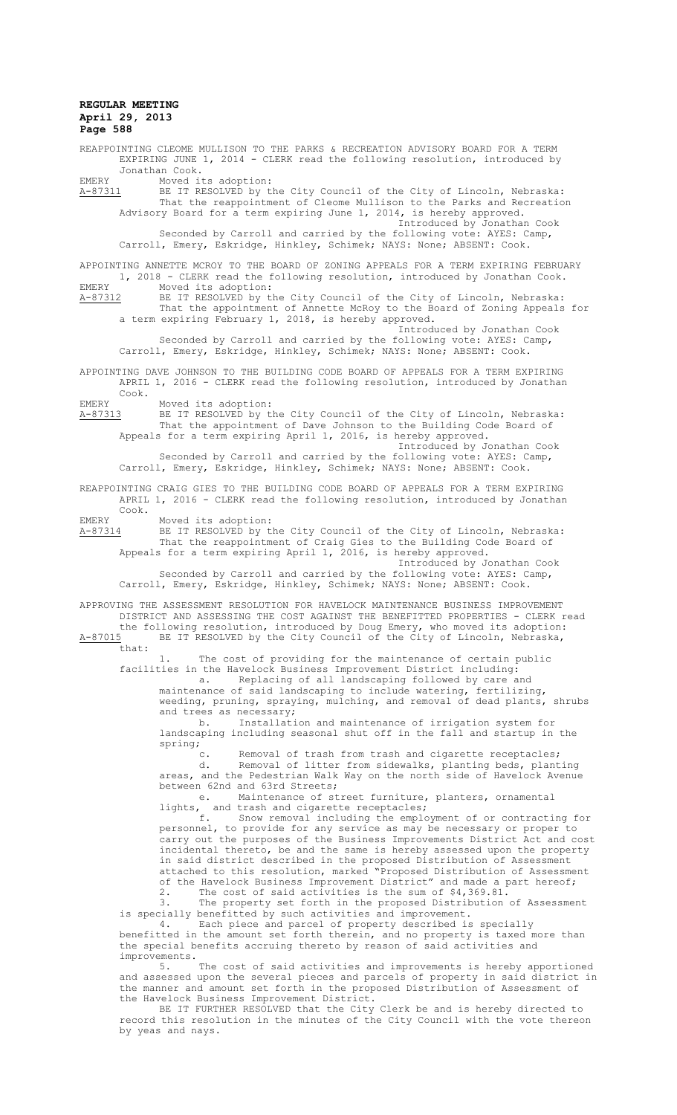REAPPOINTING CLEOME MULLISON TO THE PARKS & RECREATION ADVISORY BOARD FOR A TERM EXPIRING JUNE 1, 2014 - CLERK read the following resolution, introduced by Jonathan Cook. EMERY Moved its adoption: A-87311 BE IT RESOLVED by the City Council of the City of Lincoln, Nebraska: That the reappointment of Cleome Mullison to the Parks and Recreation Advisory Board for a term expiring June 1, 2014, is hereby approved. Introduced by Jonathan Cook Seconded by Carroll and carried by the following vote: AYES: Camp, Carroll, Emery, Eskridge, Hinkley, Schimek; NAYS: None; ABSENT: Cook. APPOINTING ANNETTE MCROY TO THE BOARD OF ZONING APPEALS FOR A TERM EXPIRING FEBRUARY 1, 2018 - CLERK read the following resolution, introduced by Jonathan Cook. EMERY Moved its adoption:<br>A-87312 BE IT RESOLVED by the BE IT RESOLVED by the City Council of the City of Lincoln, Nebraska: That the appointment of Annette McRoy to the Board of Zoning Appeals for a term expiring February 1, 2018, is hereby approved. Introduced by Jonathan Cook Seconded by Carroll and carried by the following vote: AYES: Camp, Carroll, Emery, Eskridge, Hinkley, Schimek; NAYS: None; ABSENT: Cook. APPOINTING DAVE JOHNSON TO THE BUILDING CODE BOARD OF APPEALS FOR A TERM EXPIRING APRIL 1, 2016 - CLERK read the following resolution, introduced by Jonathan Cook. EMERY Moved its adoption: A-87313 BE IT RESOLVED by the City Council of the City of Lincoln, Nebraska: That the appointment of Dave Johnson to the Building Code Board of Appeals for a term expiring April 1, 2016, is hereby approved. Introduced by Jonathan Cook Seconded by Carroll and carried by the following vote: AYES: Camp, Carroll, Emery, Eskridge, Hinkley, Schimek; NAYS: None; ABSENT: Cook. REAPPOINTING CRAIG GIES TO THE BUILDING CODE BOARD OF APPEALS FOR A TERM EXPIRING APRIL 1, 2016 - CLERK read the following resolution, introduced by Jonathan Cook. EMERY Moved its adoption:<br>A-87314 BE IT RESOLVED by t A-87314 BE IT RESOLVED by the City Council of the City of Lincoln, Nebraska: That the reappointment of Craig Gies to the Building Code Board of Appeals for a term expiring April 1, 2016, is hereby approved. Introduced by Jonathan Cook Seconded by Carroll and carried by the following vote: AYES: Camp, Carroll, Emery, Eskridge, Hinkley, Schimek; NAYS: None; ABSENT: Cook. APPROVING THE ASSESSMENT RESOLUTION FOR HAVELOCK MAINTENANCE BUSINESS IMPROVEMENT DISTRICT AND ASSESSING THE COST AGAINST THE BENEFITTED PROPERTIES - CLERK read the following resolution, introduced by Doug Emery, who moved its adoption: A-87015 BE IT RESOLVED by the City Council of the City of Lincoln, Nebraska, that: 1. The cost of providing for the maintenance of certain public facilities in the Havelock Business Improvement District including: a. Replacing of all landscaping followed by care and maintenance of said landscaping to include watering, fertilizing, weeding, pruning, spraying, mulching, and removal of dead plants, shrubs and trees as necessary; b. Installation and maintenance of irrigation system for landscaping including seasonal shut off in the fall and startup in the spring; Removal of trash from trash and cigarette receptacles; d. Removal of litter from sidewalks, planting beds, planting areas, and the Pedestrian Walk Way on the north side of Havelock Avenue between 62nd and 63rd Streets; e. Maintenance of street furniture, planters, ornamental lights, and trash and cigarette receptacles;<br>f. Snow removal including the employ Snow removal including the employment of or contracting for personnel, to provide for any service as may be necessary or proper to carry out the purposes of the Business Improvements District Act and cost incidental thereto, be and the same is hereby assessed upon the property in said district described in the proposed Distribution of Assessment attached to this resolution, marked "Proposed Distribution of Assessment of the Havelock Business Improvement District" and made a part hereof; 2. The cost of said activities is the sum of \$4,369.81.<br>3. The property set forth in the proposed Distribution The property set forth in the proposed Distribution of Assessment is specially benefitted by such activities and improvement. 4. Each piece and parcel of property described is specially benefitted in the amount set forth therein, and no property is taxed more than the special benefits accruing thereto by reason of said activities and improvements.<br>5. The cost of said activities and improvements is hereby apportioned and assessed upon the several pieces and parcels of property in said district in the manner and amount set forth in the proposed Distribution of Assessment of

the Havelock Business Improvement District. BE IT FURTHER RESOLVED that the City Clerk be and is hereby directed to record this resolution in the minutes of the City Council with the vote thereon by yeas and nays.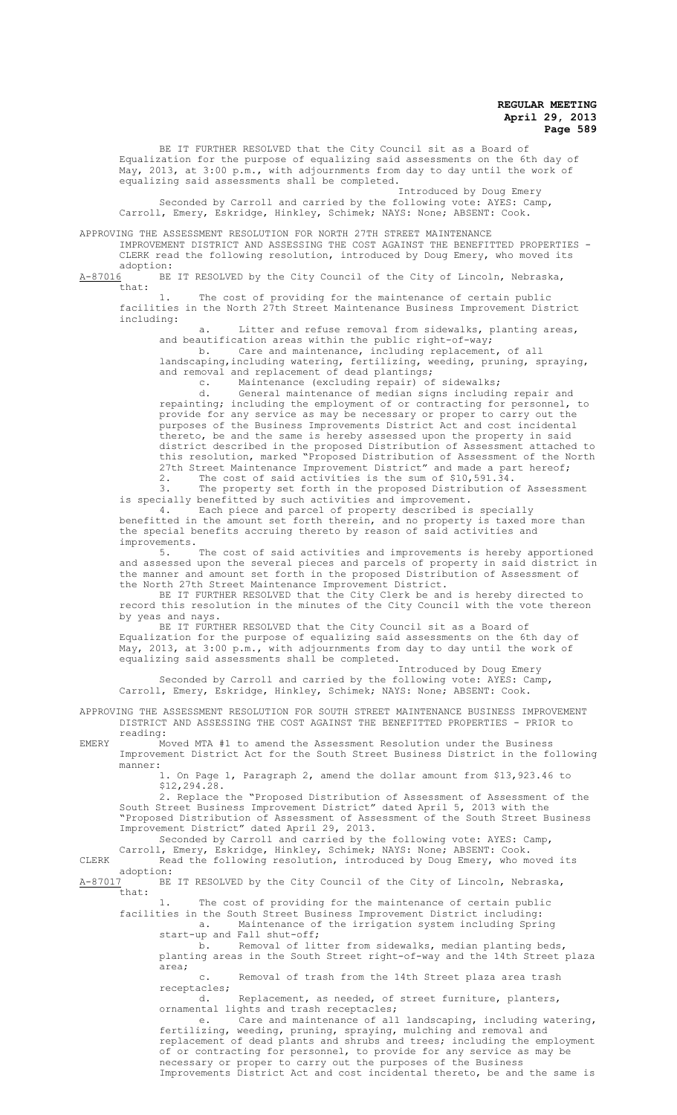BE IT FURTHER RESOLVED that the City Council sit as a Board of Equalization for the purpose of equalizing said assessments on the 6th day of May, 2013, at 3:00 p.m., with adjournments from day to day until the work of equalizing said assessments shall be completed.

Introduced by Doug Emery Seconded by Carroll and carried by the following vote: AYES: Camp, Carroll, Emery, Eskridge, Hinkley, Schimek; NAYS: None; ABSENT: Cook.

APPROVING THE ASSESSMENT RESOLUTION FOR NORTH 27TH STREET MAINTENANCE

IMPROVEMENT DISTRICT AND ASSESSING THE COST AGAINST THE BENEFITTED PROPERTIES - CLERK read the following resolution, introduced by Doug Emery, who moved its

 $\frac{\text{adoption:}}{\text{A}-87016}$ BE BE IT RESOLVED by the City Council of the City of Lincoln, Nebraska, that:

1. The cost of providing for the maintenance of certain public facilities in the North 27th Street Maintenance Business Improvement District including:

a. Litter and refuse removal from sidewalks, planting areas, and beautification areas within the public right-of-way;

b. Care and maintenance, including replacement, of all landscaping, including watering, fertilizing, weeding, pruning, spraying, and removal and replacement of dead plantings;

c. Maintenance (excluding repair) of sidewalks;

d. General maintenance of median signs including repair and repainting; including the employment of or contracting for personnel, to provide for any service as may be necessary or proper to carry out the purposes of the Business Improvements District Act and cost incidental thereto, be and the same is hereby assessed upon the property in said district described in the proposed Distribution of Assessment attached to this resolution, marked "Proposed Distribution of Assessment of the North 27th Street Maintenance Improvement District" and made a part hereof; 2. The cost of said activities is the sum of \$10,591.34.

3. The property set forth in the proposed Distribution of Assessment is specially benefitted by such activities and improvement.

4. Each piece and parcel of property described is specially benefitted in the amount set forth therein, and no property is taxed more than the special benefits accruing thereto by reason of said activities and improvements.<br>5.

The cost of said activities and improvements is hereby apportioned and assessed upon the several pieces and parcels of property in said district in the manner and amount set forth in the proposed Distribution of Assessment of the North 27th Street Maintenance Improvement District.

BE IT FURTHER RESOLVED that the City Clerk be and is hereby directed to record this resolution in the minutes of the City Council with the vote thereon by yeas and nays.

BE IT FURTHER RESOLVED that the City Council sit as a Board of Equalization for the purpose of equalizing said assessments on the 6th day of May, 2013, at 3:00 p.m., with adjournments from day to day until the work of equalizing said assessments shall be completed.

Introduced by Doug Emery Seconded by Carroll and carried by the following vote: AYES: Camp, Carroll, Emery, Eskridge, Hinkley, Schimek; NAYS: None; ABSENT: Cook.

APPROVING THE ASSESSMENT RESOLUTION FOR SOUTH STREET MAINTENANCE BUSINESS IMPROVEMENT DISTRICT AND ASSESSING THE COST AGAINST THE BENEFITTED PROPERTIES - PRIOR to reading:

EMERY Moved MTA #1 to amend the Assessment Resolution under the Business Improvement District Act for the South Street Business District in the following manner:

1. On Page 1, Paragraph 2, amend the dollar amount from \$13,923.46 to \$12,294.28.

2. Replace the "Proposed Distribution of Assessment of Assessment of the South Street Business Improvement District" dated April 5, 2013 with the "Proposed Distribution of Assessment of Assessment of the South Street Business Improvement District" dated April 29, 2013.

Seconded by Carroll and carried by the following vote: AYES: Camp, Carroll, Emery, Eskridge, Hinkley, Schimek; NAYS: None; ABSENT: Cook.

CLERK Read the following resolution, introduced by Doug Emery, who moved its adoption:

BE IT RESOLVED by the City Council of the City of Lincoln, Nebraska,  $\frac{\text{A}-87017}{\text{that}}$ 

1. The cost of providing for the maintenance of certain public facilities in the South Street Business Improvement District including: a. Maintenance of the irrigation system including Spring

start-up and Fall shut-off; b. Removal of litter from sidewalks, median planting beds, planting areas in the South Street right-of-way and the 14th Street plaza area;

c. Removal of trash from the 14th Street plaza area trash receptacles;<br>d

Replacement, as needed, of street furniture, planters, ornamental lights and trash receptacles;

e. Care and maintenance of all landscaping, including watering, fertilizing, weeding, pruning, spraying, mulching and removal and replacement of dead plants and shrubs and trees; including the employment of or contracting for personnel, to provide for any service as may be necessary or proper to carry out the purposes of the Business Improvements District Act and cost incidental thereto, be and the same is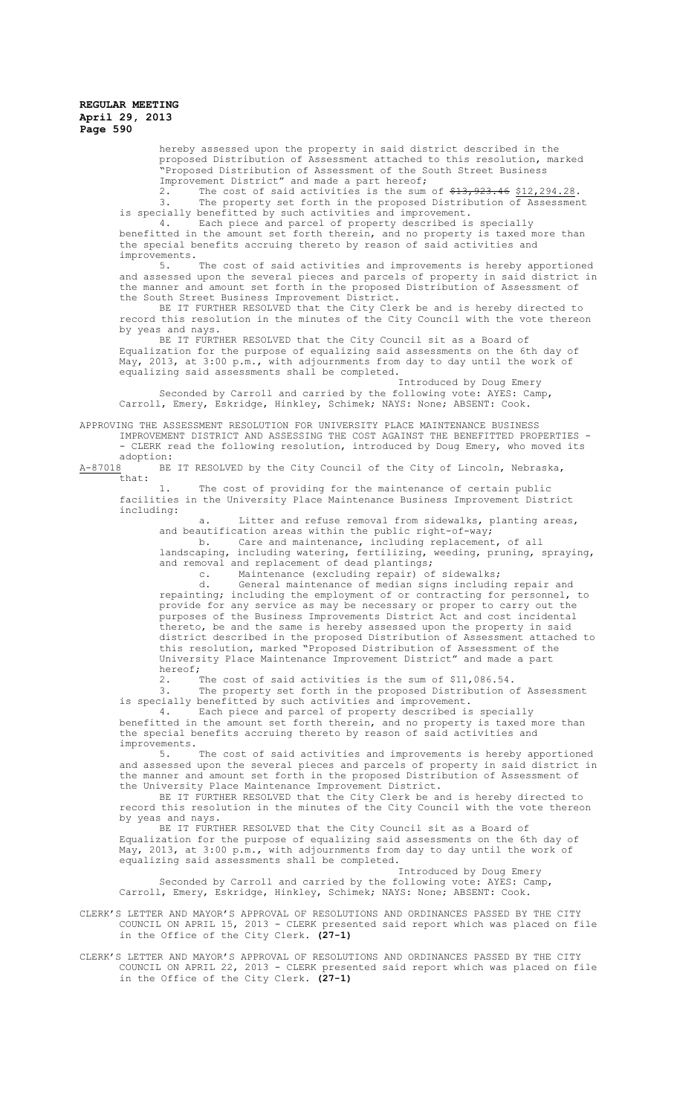hereby assessed upon the property in said district described in the proposed Distribution of Assessment attached to this resolution, marked "Proposed Distribution of Assessment of the South Street Business

Improvement District" and made a part hereof;<br>2. The cost of said activities is the sum The cost of said activities is the sum of  $\frac{13}{23.46}$   $\frac{12}{294.28}$ . 3. The property set forth in the proposed Distribution of Assessment is specially benefitted by such activities and improvement.

4. Each piece and parcel of property described is specially benefitted in the amount set forth therein, and no property is taxed more than the special benefits accruing thereto by reason of said activities and improvements.<br>5.

The cost of said activities and improvements is hereby apportioned and assessed upon the several pieces and parcels of property in said district in the manner and amount set forth in the proposed Distribution of Assessment of the South Street Business Improvement District.

BE IT FURTHER RESOLVED that the City Clerk be and is hereby directed to record this resolution in the minutes of the City Council with the vote thereon by yeas and nays.

BE IT FURTHER RESOLVED that the City Council sit as a Board of Equalization for the purpose of equalizing said assessments on the 6th day of May, 2013, at 3:00 p.m., with adjournments from day to day until the work of equalizing said assessments shall be completed.

Introduced by Doug Emery Seconded by Carroll and carried by the following vote: AYES: Camp, Carroll, Emery, Eskridge, Hinkley, Schimek; NAYS: None; ABSENT: Cook.

APPROVING THE ASSESSMENT RESOLUTION FOR UNIVERSITY PLACE MAINTENANCE BUSINESS

IMPROVEMENT DISTRICT AND ASSESSING THE COST AGAINST THE BENEFITTED PROPERTIES - - CLERK read the following resolution, introduced by Doug Emery, who moved its

 $\frac{\text{adoption:}}{\text{A}-87018}$ BE BE IT RESOLVED by the City Council of the City of Lincoln, Nebraska, that:

1. The cost of providing for the maintenance of certain public facilities in the University Place Maintenance Business Improvement District including:

a. Litter and refuse removal from sidewalks, planting areas, and beautification areas within the public right-of-way;

b. Care and maintenance, including replacement, of all landscaping, including watering, fertilizing, weeding, pruning, spraying, and removal and replacement of dead plantings;

c. Maintenance (excluding repair) of sidewalks;

d. General maintenance of median signs including repair and repainting; including the employment of or contracting for personnel, to provide for any service as may be necessary or proper to carry out the purposes of the Business Improvements District Act and cost incidental thereto, be and the same is hereby assessed upon the property in said district described in the proposed Distribution of Assessment attached to this resolution, marked "Proposed Distribution of Assessment of the University Place Maintenance Improvement District" and made a part hereof;

2. The cost of said activities is the sum of \$11,086.54. The property set forth in the proposed Distribution of Assessment

is specially benefitted by such activities and improvement.<br>4. Each piece and parcel of property described is

Each piece and parcel of property described is specially benefitted in the amount set forth therein, and no property is taxed more than the special benefits accruing thereto by reason of said activities and improvements.

The cost of said activities and improvements is hereby apportioned and assessed upon the several pieces and parcels of property in said district in the manner and amount set forth in the proposed Distribution of Assessment of the University Place Maintenance Improvement District.

BE IT FURTHER RESOLVED that the City Clerk be and is hereby directed to record this resolution in the minutes of the City Council with the vote thereon by yeas and nays.

BE IT FURTHER RESOLVED that the City Council sit as a Board of Equalization for the purpose of equalizing said assessments on the 6th day of May, 2013, at 3:00 p.m., with adjournments from day to day until the work of equalizing said assessments shall be completed.

Introduced by Doug Emery Seconded by Carroll and carried by the following vote: AYES: Camp, Carroll, Emery, Eskridge, Hinkley, Schimek; NAYS: None; ABSENT: Cook.

CLERK'S LETTER AND MAYOR'S APPROVAL OF RESOLUTIONS AND ORDINANCES PASSED BY THE CITY COUNCIL ON APRIL 15, 2013 - CLERK presented said report which was placed on file in the Office of the City Clerk. **(27-1)**

CLERK'S LETTER AND MAYOR'S APPROVAL OF RESOLUTIONS AND ORDINANCES PASSED BY THE CITY COUNCIL ON APRIL 22, 2013 - CLERK presented said report which was placed on file in the Office of the City Clerk. **(27-1)**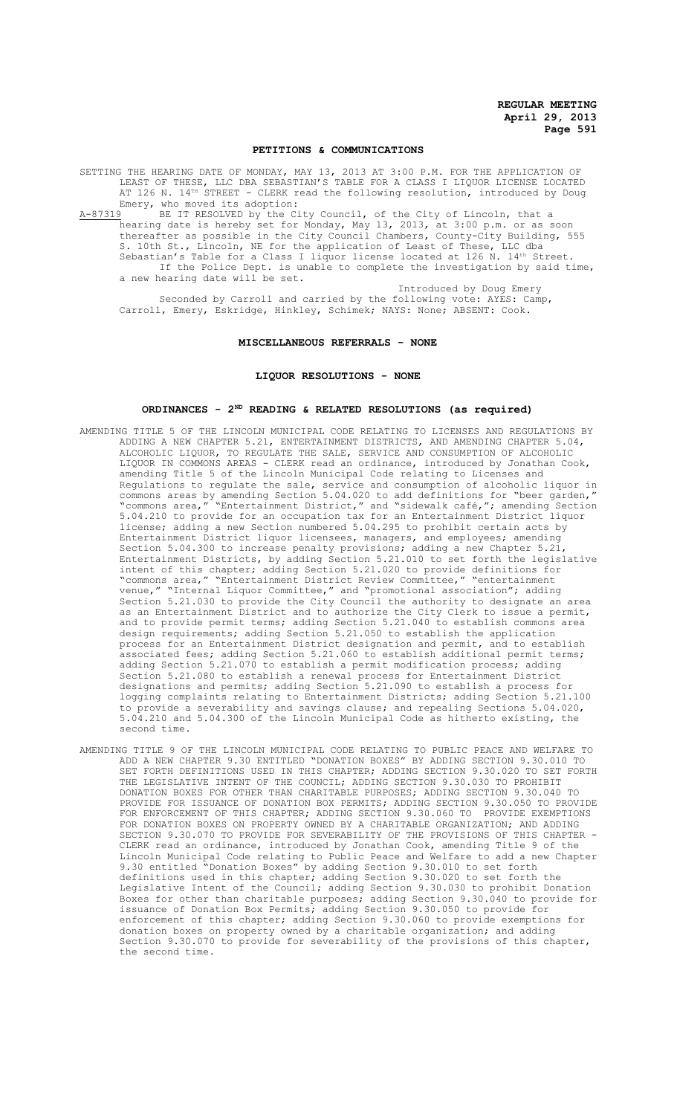#### **PETITIONS & COMMUNICATIONS**

SETTING THE HEARING DATE OF MONDAY, MAY 13, 2013 AT 3:00 P.M. FOR THE APPLICATION OF LEAST OF THESE, LLC DBA SEBASTIAN'S TABLE FOR A CLASS I LIQUOR LICENSE LOCATED AT 126 N. 14<sup>TH</sup> STREET - CLERK read the following resolution, introduced by Doug Emery, who moved its adoption:<br>A-87319 BE IT RESOLVED by the Ci

BE IT RESOLVED by the City Council, of the City of Lincoln, that a hearing date is hereby set for Monday, May 13, 2013, at 3:00 p.m. or as soon thereafter as possible in the City Council Chambers, County-City Building, 555 S. 10th St., Lincoln, NE for the application of Least of These, LLC dba Sebastian's Table for a Class I liquor license located at 126 N. 14<sup>th</sup> Street. If the Police Dept. is unable to complete the investigation by said time, a new hearing date will be set.

Introduced by Doug Emery Seconded by Carroll and carried by the following vote: AYES: Camp, Carroll, Emery, Eskridge, Hinkley, Schimek; NAYS: None; ABSENT: Cook.

#### **MISCELLANEOUS REFERRALS - NONE**

## **LIQUOR RESOLUTIONS - NONE**

#### **ORDINANCES - 2ND READING & RELATED RESOLUTIONS (as required)**

- AMENDING TITLE 5 OF THE LINCOLN MUNICIPAL CODE RELATING TO LICENSES AND REGULATIONS BY ADDING A NEW CHAPTER 5.21, ENTERTAINMENT DISTRICTS, AND AMENDING CHAPTER 5.04, ALCOHOLIC LIQUOR, TO REGULATE THE SALE, SERVICE AND CONSUMPTION OF ALCOHOLIC LIQUOR IN COMMONS AREAS - CLERK read an ordinance, introduced by Jonathan Cook, amending Title 5 of the Lincoln Municipal Code relating to Licenses and Regulations to regulate the sale, service and consumption of alcoholic liquor in commons areas by amending Section 5.04.020 to add definitions for "beer garden," "commons area," "Entertainment District," and "sidewalk café,"; amending Section 5.04.210 to provide for an occupation tax for an Entertainment District liquor license; adding a new Section numbered 5.04.295 to prohibit certain acts by Entertainment District liquor licensees, managers, and employees; amending Section 5.04.300 to increase penalty provisions; adding a new Chapter 5.21, Entertainment Districts, by adding Section 5.21.010 to set forth the legislative intent of this chapter; adding Section 5.21.020 to provide definitions for "commons area," "Entertainment District Review Committee," "entertainment venue," "Internal Liquor Committee," and "promotional association"; adding Section 5.21.030 to provide the City Council the authority to designate an area as an Entertainment District and to authorize the City Clerk to issue a permit, and to provide permit terms; adding Section 5.21.040 to establish commons area design requirements; adding Section 5.21.050 to establish the application process for an Entertainment District designation and permit, and to establish associated fees; adding Section 5.21.060 to establish additional permit terms; adding Section 5.21.070 to establish a permit modification process; adding Section 5.21.080 to establish a renewal process for Entertainment District designations and permits; adding Section 5.21.090 to establish a process for logging complaints relating to Entertainment Districts; adding Section 5.21.100 to provide a severability and savings clause; and repealing Sections 5.04.020, 5.04.210 and 5.04.300 of the Lincoln Municipal Code as hitherto existing, the second time.
- AMENDING TITLE 9 OF THE LINCOLN MUNICIPAL CODE RELATING TO PUBLIC PEACE AND WELFARE TO ADD A NEW CHAPTER 9.30 ENTITLED "DONATION BOXES" BY ADDING SECTION 9.30.010 TO SET FORTH DEFINITIONS USED IN THIS CHAPTER; ADDING SECTION 9.30.020 TO SET FORTH THE LEGISLATIVE INTENT OF THE COUNCIL; ADDING SECTION 9.30.030 TO PROHIBIT DONATION BOXES FOR OTHER THAN CHARITABLE PURPOSES; ADDING SECTION 9.30.040 TO PROVIDE FOR ISSUANCE OF DONATION BOX PERMITS; ADDING SECTION 9.30.050 TO PROVIDE FOR ENFORCEMENT OF THIS CHAPTER; ADDING SECTION 9.30.060 TO PROVIDE EXEMPTIONS FOR DONATION BOXES ON PROPERTY OWNED BY A CHARITABLE ORGANIZATION; AND ADDING SECTION 9.30.070 TO PROVIDE FOR SEVERABILITY OF THE PROVISIONS OF THIS CHAPTER - CLERK read an ordinance, introduced by Jonathan Cook, amending Title 9 of the Lincoln Municipal Code relating to Public Peace and Welfare to add a new Chapter 9.30 entitled "Donation Boxes" by adding Section 9.30.010 to set forth definitions used in this chapter; adding Section 9.30.020 to set forth the Legislative Intent of the Council; adding Section 9.30.030 to prohibit Donation Boxes for other than charitable purposes; adding Section 9.30.040 to provide for issuance of Donation Box Permits; adding Section 9.30.050 to provide for enforcement of this chapter; adding Section 9.30.060 to provide exemptions for donation boxes on property owned by a charitable organization; and adding Section 9.30.070 to provide for severability of the provisions of this chapter, the second time.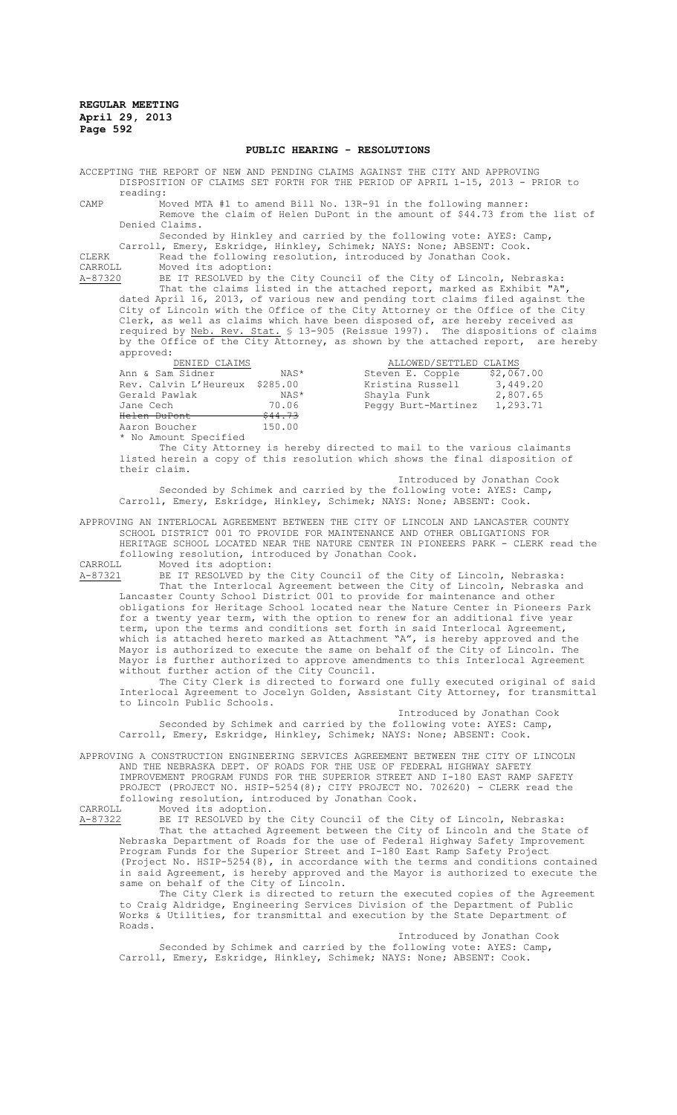#### **PUBLIC HEARING - RESOLUTIONS**

ACCEPTING THE REPORT OF NEW AND PENDING CLAIMS AGAINST THE CITY AND APPROVING DISPOSITION OF CLAIMS SET FORTH FOR THE PERIOD OF APRIL 1-15, 2013 - PRIOR to reading:

CAMP Moved MTA #1 to amend Bill No. 13R-91 in the following manner: Remove the claim of Helen DuPont in the amount of \$44.73 from the list of Denied Claims.

Seconded by Hinkley and carried by the following vote: AYES: Camp, Carroll, Emery, Eskridge, Hinkley, Schimek; NAYS: None; ABSENT: Cook. CLERK Read the following resolution, introduced by Jonathan Cook.

CARROLL Moved its adoption:

A-87320 BE IT RESOLVED by the City Council of the City of Lincoln, Nebraska: That the claims listed in the attached report, marked as Exhibit "A", dated April 16, 2013, of various new and pending tort claims filed against the City of Lincoln with the Office of the City Attorney or the Office of the City Clerk, as well as claims which have been disposed of, are hereby received as required by Neb. Rev. Stat. § 13-905 (Reissue 1997). The dispositions of claims by the Office of the City Attorney, as shown by the attached report, are hereby approved:

| DENIED CLAIMS                  |                    | ALLOWED/SETTLED CLAIMS |            |
|--------------------------------|--------------------|------------------------|------------|
| Ann & Sam Sidner               | NAS*               | Steven E. Copple       | \$2,067.00 |
| Rev. Calvin L'Heureux \$285.00 |                    | Kristina Russell       | 3,449.20   |
| Gerald Pawlak                  | NAS*               | Shayla Funk            | 2,807.65   |
| Jane Cech                      | 70.06              | Peggy Burt-Martinez    | 1,293.71   |
| <del>Helen DuPont</del>        | <del>\$44.73</del> |                        |            |
| Aaron Boucher                  | 150.00             |                        |            |
| * No Amount Specified          |                    |                        |            |

The City Attorney is hereby directed to mail to the various claimants listed herein a copy of this resolution which shows the final disposition of their claim.

Introduced by Jonathan Cook Seconded by Schimek and carried by the following vote: AYES: Camp, Carroll, Emery, Eskridge, Hinkley, Schimek; NAYS: None; ABSENT: Cook.

APPROVING AN INTERLOCAL AGREEMENT BETWEEN THE CITY OF LINCOLN AND LANCASTER COUNTY SCHOOL DISTRICT 001 TO PROVIDE FOR MAINTENANCE AND OTHER OBLIGATIONS FOR HERITAGE SCHOOL LOCATED NEAR THE NATURE CENTER IN PIONEERS PARK - CLERK read the following resolution, introduced by Jonathan Cook.<br>CARROLL Moved its adoption:

CARROLL Moved its adoption:<br>A-87321 BE IT RESOLVED by t BE IT RESOLVED by the City Council of the City of Lincoln, Nebraska: That the Interlocal Agreement between the City of Lincoln, Nebraska and Lancaster County School District 001 to provide for maintenance and other obligations for Heritage School located near the Nature Center in Pioneers Park for a twenty year term, with the option to renew for an additional five year term, upon the terms and conditions set forth in said Interlocal Agreement, which is attached hereto marked as Attachment "A", is hereby approved and the Mayor is authorized to execute the same on behalf of the City of Lincoln. The Mayor is further authorized to approve amendments to this Interlocal Agreement without further action of the City Council.

The City Clerk is directed to forward one fully executed original of said Interlocal Agreement to Jocelyn Golden, Assistant City Attorney, for transmittal to Lincoln Public Schools.

Introduced by Jonathan Cook Seconded by Schimek and carried by the following vote: AYES: Camp, Carroll, Emery, Eskridge, Hinkley, Schimek; NAYS: None; ABSENT: Cook.

APPROVING A CONSTRUCTION ENGINEERING SERVICES AGREEMENT BETWEEN THE CITY OF LINCOLN AND THE NEBRASKA DEPT. OF ROADS FOR THE USE OF FEDERAL HIGHWAY SAFETY IMPROVEMENT PROGRAM FUNDS FOR THE SUPERIOR STREET AND I-180 EAST RAMP SAFETY PROJECT (PROJECT NO. HSIP-5254(8); CITY PROJECT NO. 702620) - CLERK read the following resolution, introduced by Jonathan Cook.<br>CARROLL Moved its adoption.

Moved its adoption. A-87322 BE IT RESOLVED by the City Council of the City of Lincoln, Nebraska: That the attached Agreement between the City of Lincoln and the State of Nebraska Department of Roads for the use of Federal Highway Safety Improvement Program Funds for the Superior Street and I-180 East Ramp Safety Project (Project No. HSIP-5254(8), in accordance with the terms and conditions contained in said Agreement, is hereby approved and the Mayor is authorized to execute the same on behalf of the City of Lincoln.

The City Clerk is directed to return the executed copies of the Agreement to Craig Aldridge, Engineering Services Division of the Department of Public Works & Utilities, for transmittal and execution by the State Department of Roads.

Introduced by Jonathan Cook Seconded by Schimek and carried by the following vote: AYES: Camp, Carroll, Emery, Eskridge, Hinkley, Schimek; NAYS: None; ABSENT: Cook.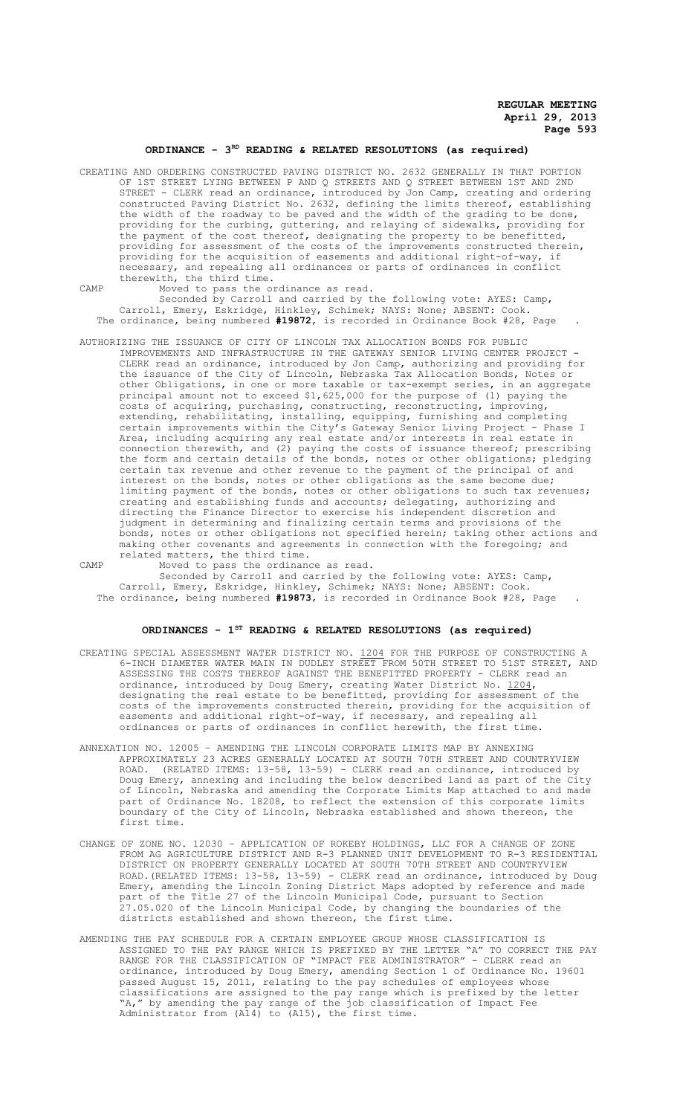# ORDINANCE - 3<sup>RD</sup> READING & RELATED RESOLUTIONS (as required)

CREATING AND ORDERING CONSTRUCTED PAVING DISTRICT NO. 2632 GENERALLY IN THAT PORTION OF 1ST STREET LYING BETWEEN P AND Q STREETS AND Q STREET BETWEEN 1ST AND 2ND STREET - CLERK read an ordinance, introduced by Jon Camp, creating and ordering constructed Paving District No. 2632, defining the limits thereof, establishing the width of the roadway to be paved and the width of the grading to be done, providing for the curbing, guttering, and relaying of sidewalks, providing for the payment of the cost thereof, designating the property to be benefitted, providing for assessment of the costs of the improvements constructed therein, providing for the acquisition of easements and additional right-of-way, if necessary, and repealing all ordinances or parts of ordinances in conflict therewith, the third time.

CAMP Moved to pass the ordinance as read.

Seconded by Carroll and carried by the following vote: AYES: Camp, Carroll, Emery, Eskridge, Hinkley, Schimek; NAYS: None; ABSENT: Cook. The ordinance, being numbered **#19872**, is recorded in Ordinance Book #28, Page .

AUTHORIZING THE ISSUANCE OF CITY OF LINCOLN TAX ALLOCATION BONDS FOR PUBLIC IMPROVEMENTS AND INFRASTRUCTURE IN THE GATEWAY SENIOR LIVING CENTER PROJECT - CLERK read an ordinance, introduced by Jon Camp, authorizing and providing for the issuance of the City of Lincoln, Nebraska Tax Allocation Bonds, Notes or other Obligations, in one or more taxable or tax-exempt series, in an aggregate principal amount not to exceed \$1,625,000 for the purpose of (1) paying the costs of acquiring, purchasing, constructing, reconstructing, improving, extending, rehabilitating, installing, equipping, furnishing and completing certain improvements within the City's Gateway Senior Living Project - Phase I Area, including acquiring any real estate and/or interests in real estate in connection therewith, and (2) paying the costs of issuance thereof; prescribing the form and certain details of the bonds, notes or other obligations; pledging certain tax revenue and other revenue to the payment of the principal of and interest on the bonds, notes or other obligations as the same become due; limiting payment of the bonds, notes or other obligations to such tax revenues; creating and establishing funds and accounts; delegating, authorizing and directing the Finance Director to exercise his independent discretion and judgment in determining and finalizing certain terms and provisions of the bonds, notes or other obligations not specified herein; taking other actions and making other covenants and agreements in connection with the foregoing; and related matters, the third time.

CAMP Moved to pass the ordinance as read.

Seconded by Carroll and carried by the following vote: AYES: Camp, Carroll, Emery, Eskridge, Hinkley, Schimek; NAYS: None; ABSENT: Cook. The ordinance, being numbered **#19873**, is recorded in Ordinance Book #28, Page .

# **ORDINANCES - 1ST READING & RELATED RESOLUTIONS (as required)**

- CREATING SPECIAL ASSESSMENT WATER DISTRICT NO. 1204 FOR THE PURPOSE OF CONSTRUCTING A 6-INCH DIAMETER WATER MAIN IN DUDLEY STREET FROM 50TH STREET TO 51ST STREET, AND ASSESSING THE COSTS THEREOF AGAINST THE BENEFITTED PROPERTY - CLERK read an ordinance, introduced by Doug Emery, creating Water District No. 1204, designating the real estate to be benefitted, providing for assessment of the costs of the improvements constructed therein, providing for the acquisition of easements and additional right-of-way, if necessary, and repealing all ordinances or parts of ordinances in conflict herewith, the first time.
- ANNEXATION NO. 12005 AMENDING THE LINCOLN CORPORATE LIMITS MAP BY ANNEXING APPROXIMATELY 23 ACRES GENERALLY LOCATED AT SOUTH 70TH STREET AND COUNTRYVIEW ROAD. (RELATED ITEMS: 13-58, 13-59) - CLERK read an ordinance, introduced by Doug Emery, annexing and including the below described land as part of the City of Lincoln, Nebraska and amending the Corporate Limits Map attached to and made part of Ordinance No. 18208, to reflect the extension of this corporate limits boundary of the City of Lincoln, Nebraska established and shown thereon, the first time.
- CHANGE OF ZONE NO. 12030 APPLICATION OF ROKEBY HOLDINGS, LLC FOR A CHANGE OF ZONE FROM AG AGRICULTURE DISTRICT AND R-3 PLANNED UNIT DEVELOPMENT TO R-3 RESIDENTIAL DISTRICT ON PROPERTY GENERALLY LOCATED AT SOUTH 70TH STREET AND COUNTRYVIEW ROAD.(RELATED ITEMS: 13-58, 13-59) - CLERK read an ordinance, introduced by Doug Emery, amending the Lincoln Zoning District Maps adopted by reference and made part of the Title 27 of the Lincoln Municipal Code, pursuant to Section 27.05.020 of the Lincoln Municipal Code, by changing the boundaries of the districts established and shown thereon, the first time.
- AMENDING THE PAY SCHEDULE FOR A CERTAIN EMPLOYEE GROUP WHOSE CLASSIFICATION IS ASSIGNED TO THE PAY RANGE WHICH IS PREFIXED BY THE LETTER "A" TO CORRECT THE PAY RANGE FOR THE CLASSIFICATION OF "IMPACT FEE ADMINISTRATOR" - CLERK read an ordinance, introduced by Doug Emery, amending Section 1 of Ordinance No. 19601 passed August 15, 2011, relating to the pay schedules of employees whose classifications are assigned to the pay range which is prefixed by the letter "A," by amending the pay range of the job classification of Impact Fee Administrator from (A14) to (A15), the first time.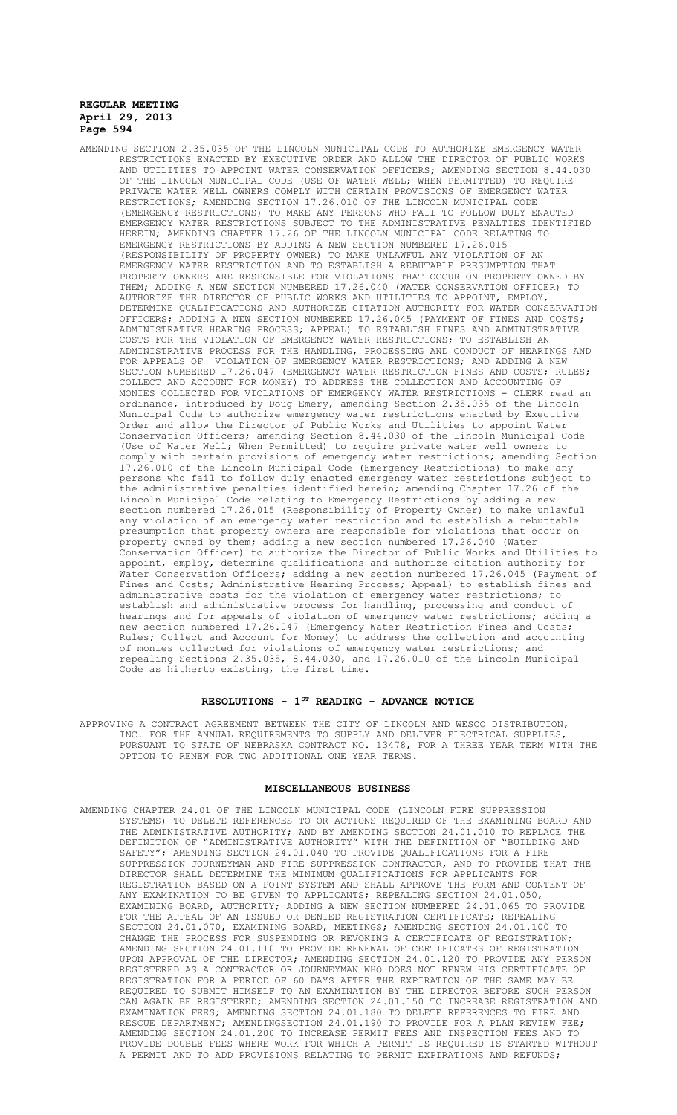AMENDING SECTION 2.35.035 OF THE LINCOLN MUNICIPAL CODE TO AUTHORIZE EMERGENCY WATER RESTRICTIONS ENACTED BY EXECUTIVE ORDER AND ALLOW THE DIRECTOR OF PUBLIC WORKS AND UTILITIES TO APPOINT WATER CONSERVATION OFFICERS; AMENDING SECTION 8.44.030 OF THE LINCOLN MUNICIPAL CODE (USE OF WATER WELL; WHEN PERMITTED) TO REQUIRE PRIVATE WATER WELL OWNERS COMPLY WITH CERTAIN PROVISIONS OF EMERGENCY WATER RESTRICTIONS; AMENDING SECTION 17.26.010 OF THE LINCOLN MUNICIPAL CODE (EMERGENCY RESTRICTIONS) TO MAKE ANY PERSONS WHO FAIL TO FOLLOW DULY ENACTED EMERGENCY WATER RESTRICTIONS SUBJECT TO THE ADMINISTRATIVE PENALTIES IDENTIFIED HEREIN; AMENDING CHAPTER 17.26 OF THE LINCOLN MUNICIPAL CODE RELATING TO EMERGENCY RESTRICTIONS BY ADDING A NEW SECTION NUMBERED 17.26.015 (RESPONSIBILITY OF PROPERTY OWNER) TO MAKE UNLAWFUL ANY VIOLATION OF AN EMERGENCY WATER RESTRICTION AND TO ESTABLISH A REBUTABLE PRESUMPTION THAT PROPERTY OWNERS ARE RESPONSIBLE FOR VIOLATIONS THAT OCCUR ON PROPERTY OWNED BY THEM; ADDING A NEW SECTION NUMBERED 17.26.040 (WATER CONSERVATION OFFICER) TO AUTHORIZE THE DIRECTOR OF PUBLIC WORKS AND UTILITIES TO APPOINT, EMPLOY, DETERMINE QUALIFICATIONS AND AUTHORIZE CITATION AUTHORITY FOR WATER CONSERVATION OFFICERS; ADDING A NEW SECTION NUMBERED 17.26.045 (PAYMENT OF FINES AND COSTS; ADMINISTRATIVE HEARING PROCESS; APPEAL) TO ESTABLISH FINES AND ADMINISTRATIVE COSTS FOR THE VIOLATION OF EMERGENCY WATER RESTRICTIONS; TO ESTABLISH AN ADMINISTRATIVE PROCESS FOR THE HANDLING, PROCESSING AND CONDUCT OF HEARINGS AND FOR APPEALS OF VIOLATION OF EMERGENCY WATER RESTRICTIONS; AND ADDING A NEW SECTION NUMBERED 17.26.047 (EMERGENCY WATER RESTRICTION FINES AND COSTS; RULES; COLLECT AND ACCOUNT FOR MONEY) TO ADDRESS THE COLLECTION AND ACCOUNTING OF MONIES COLLECTED FOR VIOLATIONS OF EMERGENCY WATER RESTRICTIONS - CLERK read an ordinance, introduced by Doug Emery, amending Section 2.35.035 of the Lincoln Municipal Code to authorize emergency water restrictions enacted by Executive Order and allow the Director of Public Works and Utilities to appoint Water Conservation Officers; amending Section 8.44.030 of the Lincoln Municipal Code (Use of Water Well; When Permitted) to require private water well owners to comply with certain provisions of emergency water restrictions; amending Section 17.26.010 of the Lincoln Municipal Code (Emergency Restrictions) to make any persons who fail to follow duly enacted emergency water restrictions subject to the administrative penalties identified herein; amending Chapter 17.26 of the Lincoln Municipal Code relating to Emergency Restrictions by adding a new section numbered 17.26.015 (Responsibility of Property Owner) to make unlawful any violation of an emergency water restriction and to establish a rebuttable presumption that property owners are responsible for violations that occur on property owned by them; adding a new section numbered 17.26.040 (Water Conservation Officer) to authorize the Director of Public Works and Utilities to appoint, employ, determine qualifications and authorize citation authority for Water Conservation Officers; adding a new section numbered 17.26.045 (Payment of Fines and Costs; Administrative Hearing Process; Appeal) to establish fines and administrative costs for the violation of emergency water restrictions; to establish and administrative process for handling, processing and conduct of hearings and for appeals of violation of emergency water restrictions; adding a new section numbered 17.26.047 (Emergency Water Restriction Fines and Costs; Rules; Collect and Account for Money) to address the collection and accounting of monies collected for violations of emergency water restrictions; and repealing Sections 2.35.035, 8.44.030, and 17.26.010 of the Lincoln Municipal Code as hitherto existing, the first time.

# **RESOLUTIONS - 1ST READING - ADVANCE NOTICE**

APPROVING A CONTRACT AGREEMENT BETWEEN THE CITY OF LINCOLN AND WESCO DISTRIBUTION, INC. FOR THE ANNUAL REQUIREMENTS TO SUPPLY AND DELIVER ELECTRICAL SUPPLIES, PURSUANT TO STATE OF NEBRASKA CONTRACT NO. 13478, FOR A THREE YEAR TERM WITH THE OPTION TO RENEW FOR TWO ADDITIONAL ONE YEAR TERMS.

#### **MISCELLANEOUS BUSINESS**

AMENDING CHAPTER 24.01 OF THE LINCOLN MUNICIPAL CODE (LINCOLN FIRE SUPPRESSION SYSTEMS) TO DELETE REFERENCES TO OR ACTIONS REQUIRED OF THE EXAMINING BOARD AND THE ADMINISTRATIVE AUTHORITY; AND BY AMENDING SECTION 24.01.010 TO REPLACE THE DEFINITION OF "ADMINISTRATIVE AUTHORITY" WITH THE DEFINITION OF "BUILDING AND SAFETY"; AMENDING SECTION 24.01.040 TO PROVIDE QUALIFICATIONS FOR A FIRE SUPPRESSION JOURNEYMAN AND FIRE SUPPRESSION CONTRACTOR, AND TO PROVIDE THAT THE DIRECTOR SHALL DETERMINE THE MINIMUM QUALIFICATIONS FOR APPLICANTS FOR REGISTRATION BASED ON A POINT SYSTEM AND SHALL APPROVE THE FORM AND CONTENT OF ANY EXAMINATION TO BE GIVEN TO APPLICANTS; REPEALING SECTION 24.01.050, EXAMINING BOARD, AUTHORITY; ADDING A NEW SECTION NUMBERED 24.01.065 TO PROVIDE FOR THE APPEAL OF AN ISSUED OR DENIED REGISTRATION CERTIFICATE; REPEALING SECTION 24.01.070, EXAMINING BOARD, MEETINGS; AMENDING SECTION 24.01.100 TO CHANGE THE PROCESS FOR SUSPENDING OR REVOKING A CERTIFICATE OF REGISTRATION; AMENDING SECTION 24.01.110 TO PROVIDE RENEWAL OF CERTIFICATES OF REGISTRATION UPON APPROVAL OF THE DIRECTOR; AMENDING SECTION 24.01.120 TO PROVIDE ANY PERSON REGISTERED AS A CONTRACTOR OR JOURNEYMAN WHO DOES NOT RENEW HIS CERTIFICATE OF REGISTRATION FOR A PERIOD OF 60 DAYS AFTER THE EXPIRATION OF THE SAME MAY BE REQUIRED TO SUBMIT HIMSELF TO AN EXAMINATION BY THE DIRECTOR BEFORE SUCH PERSON CAN AGAIN BE REGISTERED; AMENDING SECTION 24.01.150 TO INCREASE REGISTRATION AND EXAMINATION FEES; AMENDING SECTION 24.01.180 TO DELETE REFERENCES TO FIRE AND RESCUE DEPARTMENT; AMENDINGSECTION 24.01.190 TO PROVIDE FOR A PLAN REVIEW FEE; AMENDING SECTION 24.01.200 TO INCREASE PERMIT FEES AND INSPECTION FEES AND TO PROVIDE DOUBLE FEES WHERE WORK FOR WHICH A PERMIT IS REQUIRED IS STARTED WITHOUT A PERMIT AND TO ADD PROVISIONS RELATING TO PERMIT EXPIRATIONS AND REFUNDS;